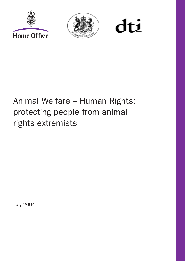



dti

# Animal Welfare – Human Rights: protecting people from animal rights extremists

July 2004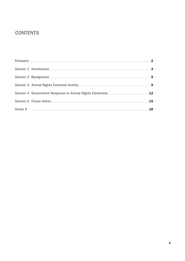## **CONTENTS**

| Section 4 Government Response to Animal Rights Extremists  12 |
|---------------------------------------------------------------|
|                                                               |
|                                                               |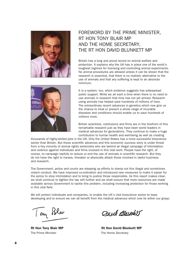

## FOREWORD BY THE PRIME MINISTER, RT HON TONY BLAIR MP AND THE HOME SECRETARY, THE RT HON DAVID BLUNKETT MP

Britain has a long and proud record on animal welfare and protection. It explains why the UK has in place one of the world's toughest regimes for licensing and controlling animal experiments. No animal procedures are allowed unless it can be shown that the research is essential, that there is no realistic alternative to the use of animals and that any suffering is kept to an absolute minimum.



It is a system, too, which evidence suggests has widespread public support. While we all want a time when there is no need to use animals in research that time has not yet arrived. Research using animals has helped save hundreds of millions of lives. The extraordinary recent advances in genetics which now give us the chance to treat or prevent a whole range of incurable diseases and conditions should enable us to save hundreds of millions more.

British scientists, institutions and firms are in the forefront of this remarkable research just as they have been world leaders in medical advances for generations. They continue to make a huge contribution to human health and well-being as well as creating

thousands of highly-skilled jobs in the UK. Only the United States has a more successful bioscience sector than Britain. But these scientific advances and this economic success story is under threat from a tiny minority of animal rights extremists who are behind an illegal campaign of intimidation and violence against individuals and firms involved in this vital work. People have the right, of course, to campaign lawfully to reduce or end the use of animals in scientific research. But they do not have the right to harass, threaten or physically attack those involved in lawful business and research.

The Government, police and courts are stepping up efforts to stamp out this illegal and sometimes violent conduct. We have improved co-ordination and introduced new measures to make it easier for the police to stop intimidation and to bring to justice those responsible. As this report makes clear, we shall continue to tighten the law still further and we shall ensure that more resources are made available across Government to tackle this problem, including increasing protection for those working in this vital field.

We will protect individuals and companies, to enable the UK's vital bioscience sector to keep developing and to ensure we can all benefit from the medical advances which now lie within our grasp.

Tony Blev

The Prime Minister The Home Secretary

Dout Bloughtt

**Rt Hon Tony Blair MP 8 2008 1909 1908 Rt Hon David Blunkett MP**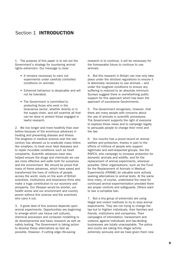### Section 1 **INTRODUCTION**

1. The purpose of this paper is to set out the Government's strategy for countering animal rights extremism. Our message is clear:

- It remains necessary to carry out experiments under carefully controlled conditions on animals;
- Extremist behaviour is despicable and will not be tolerated;
- The Government is committed to protecting those who work in the bioscience sector, whether directly or in the supply chain, and will examine all that can be done to protect those engaged in lawful research.

2. We live longer and more healthily than ever before because of the enormous advances in treating and preventing disease and illness. The progress in medical science over the last century has allowed us to eradicate mass killers like smallpox, to treat once fatal diseases and to repair incurable conditions such as heart complaints. Scientific advances have also helped ensure the drugs and chemicals we use are more effective and safer both for ourselves and the environment. We should be proud that many of these advances, which have saved and transformed the lives of millions of people across the world, rests on the work of British scientists, institutions and bioscience firms who make a huge contribution to our economy and prosperity. Our lifespan would be shorter, our health worse and our environment and country poorer without this science and the scientists who carry it out.

3. A great deal of this science depends upon animal experiments. Opportunities are beginning to emerge which use tissue cell cultures, chemical processes and computer modelling to do developmental and basic research as well as safety testing. The Government is taking action to develop these alternatives as fast as possible. However, if cutting edge life-saving

research is to continue, it will be necessary for the foreseeable future to continue to use animals.

4. But this research in Britain can now only take place under the strictest regulations to ensure it is absolutely necessary to use animals – and under the toughest conditions to ensure any suffering is reduced to an absolute minimum. Surveys suggest there is overwhelming public support for this approach which has been the approach of successive Governments.

5. The Government recognises, however, that there are many people with concerns about the use of animals in scientific procedures. The Government supports the right of everyone to express those views and to campaign legally to persuade people to change their mind and the law.

6. Our country has a proud record on animal welfare and protection, thanks in part to the efforts of millions of people who support legitimate and well-respected groups, like the RSPCA, who campaign to increase protection for domestic animals and wildlife, and for the replacement of animal experiments, wherever possible. Other organisations, such as the Fund for the Replacement of Animals in Medical Experiments (FRAME) do valuable work actively seeking alternatives to animal tests. At the same time many, of course, understand the need for continued animal experimentation provided there are proper controls and safeguards. Others want to see a complete ban.

7. But a tiny group of extremists are using illegal and violent methods to try to stop animal experiments. They are not trying to change the law but to frighten individuals, their families and friends, institutions and companies. Their campaigns of intimidation, harassment and violence against individuals and law-abiding businesses are totally unacceptable. The police and courts are taking this illegal activity extremely seriously and we have given them new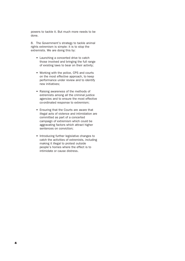powers to tackle it. But much more needs to be done.

8. The Government's strategy to tackle animal rights extremism is simple: it is to stop the extremists. We are doing this by:

- Launching a concerted drive to catch those involved and bringing the full range of existing laws to bear on their activity;
- Working with the police, CPS and courts on the most effective approach, to keep performance under review and to identify new initiatives;
- Raising awareness of the methods of extremists among all the criminal justice agencies and to ensure the most effective co-ordinated response to extremism;
- Ensuring that the Courts are aware that illegal acts of violence and intimidation are committed as part of a concerted campaign of extremism which could be aggravating factors which attract higher sentences on conviction;
- Introducing further legislative changes to catch the activities of extremists, including making it illegal to protest outside people's homes where the effect is to intimidate or cause distress.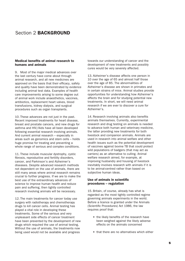## Section 2 **BACKGROUND**

#### **Medical benefits of animal research to humans and animals**

9. Most of the major medical advances over the last century have come about through animal research, and all new medicines are approved on the basis that their efficacy, safety and quality have been demonstrated by evidence including animal test data. Examples of health care improvements arising to some degree out of animal work include anaesthetics, vaccines, antibiotics, replacement heart valves, blood transfusions, kidney dialysis, and surgical procedures such as organ transplants.

10. These advances are not just in the past. Recent improved treatments for heart disease, breast and prostate cancers, and new drugs for asthma and HIV/Aids have all been developed following essential research involving animals. And current animal research – especially in areas such as genomics and stem cells – holds huge promise for treating and preventing a whole range of serious and complex conditions.

11. These include muscular dystrophy, cystic fibrosis, reproductive and fertility disorders, cancer, and Parkinson's and Alzheimer's diseases. Despite advanced research methods not dependent on the use of animals, there are still many areas where animal research remains crucial to further progress. If we are to make the best use of the extraordinary advances of science to improve human health and reduce pain and suffering, then tightly controlled research involving animals will be necessary.

12. The main treatments for cancer today use surgery with radiotherapy and chemotherapy drugs to kill cancer cells. Animal testing has played a vital role in developing these treatments. Some of the serious and very unpleasant side effects of cancer treatment have been prevented by the development of new drugs which required the use of animal testing. Without the use of animals, the treatments now being used would not be available and progress

towards our understanding of cancer and the development of new treatments and possibly cures would be very severely affected.

13. Alzheimer's disease affects one person in 10 over the age of 65 and almost half those over the age of 85. The abnormalities of Alzheimer's disease are shown in primates and in certain strains of mice. Animal studies provide opportunities for understanding how Alzheimer's affects the brain and for studying potential new treatments. In short, we will need animal research if we are ever to discover a cure for Alzheimer's.

14. Research involving animals also benefits animals themselves. Currently, experimental research and drug testing on animals is needed to advance both human and veterinary medicine, the latter providing new treatments for both livestock and companion animals. Animals are used in research into animal welfare and other health issues such as the potential development of vaccines against bovine TB that could protect wild populations of badgers (that may act as carriers) as an alternative to culling. Animal welfare research aimed, for example, at improving husbandry and housing of livestock inevitably involves research with animals if it is to be animal-centred rather than based on subjective human ideas.

#### **Use of animals in scientific procedures – regulation**

15. Britain, of course, already has what is regarded as the most tightly controlled regime governing animals experiments in the world. Before a licence is granted under the Animals (Scientific Procedures) Act 1986, the law requires proof that:

- the likely benefits of the research have been weighed against the likely adverse effects on the animals concerned
- that there are no alternatives which either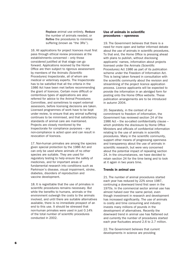Replace animal use entirely, Reduce the number of animals needed, or Refine the procedures to minimise suffering (known as "the 3Rs").

16. All applications for project licences must first pass through ethical review processes at the establishments concerned – only those considered justified at that stage can go forward. Applications received by the Home Office are then subject to rigorous assessment by members of the Animals (Scientific Procedures) Inspectorate, all of whom are medical or veterinary experts. The Inspectorate has to be satisfied that all the criteria in the 1986 Act have been met before recommending the grant of licences. Certain more difficult or contentious types of applications are also referred for advice to the Animal Procedures Committee, and sometimes to expert external assessors, before licensing decisions are taken. Licensed programmes of work have to be kept under review, to ensure that any animal suffering continues to be minimised, and that satisfactory standards of animal care are maintained. Projects are closely monitored by the Inspectorate for compliance purposes – any non-compliance is acted upon and can result in revocation of licences.

17. Non-human primates are among the species given special protection by the 1986 Act and can only be used where animals of no other species are suitable. They are used for regulatory testing to help ensure the safety of medicines, and for important areas of fundamental research into conditions such as Parkinson's disease, visual impairment, stroke, diabetes, disorders of reproduction and vaccine development.

18. It is regrettable that the use of primates in scientific procedures remains necessary. But while the benefits to humans, animals or the environment outweigh the costs to the animals involved, and until there are suitable alternatives available, there is no immediate prospect of an end to this use. It should be stressed that non-human primates were used in just 0.14% of the total number of scientific procedures conducted in 2002.

#### **Use of animals in scientific procedures – openness**

19. The Government believes that there is a need for more open and better informed debate about the use of animals in scientific procedures. To that end, the Home Office is pressing ahead with plans to publish, without disclosing applicants' names, information about projects licensed under the Animals (Scientific Procedures) Act 1986 as part of its publication scheme under the Freedom of Information Act. This is being taken forward in consultation with the scientific community about the revision and streamlining of the project licence application process. Licence applicants will be expected to provide the information in an abridged form for posting onto the Home Office website. These publication arrangements are to be introduced in autumn 2004.

20. Separately, in the context of our commitment to freedom of information, the Government has reviewed section 24 of the 1986 Act – the so-called confidentiality clause – which prohibits the disclosure by Home Office Ministers and officials of confidential information relating to the use of animals in scientific procedures. Many in the scientific community, support other means of progressing openness and transparency about the use of animals in scientific research, but were very concerned about the potential impact of repealing section 24. In the circumstances, we have decided to retain section 24 for the time being and to look at it again in two years time.

#### **Trends in animal use**

21. The number of animal procedures started each year has reduced by 22% since 1987, continuing a downward trend first seen in the 1970s. In the commercial sector animal use has almost halved over the same period, even though investment in research and development has increased significantly. The use of animals is costly and time consuming and industry invests many millions of pounds in the development of alternatives. Recently the downward trend in animal use has flattened out and currently the number of procedures started each year fluctuates around 2.6 to 2.7 million.

22. The Government believes that current developments in science are providing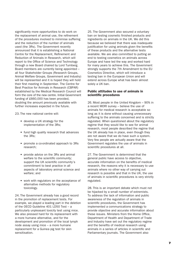significantly more opportunities to do work on the replacement of animal use, the refinement of the procedures involved to minimise suffering and the reduction of the number of animals used (the 3Rs). The Government recently announced that it is establishing a National Centre for the Replacement, Refinement and Reduction of Animals in Research, which will report to the Office of Science and Technology through a new Board chaired by Lord Turnberg. Board members are currently being appointed – all four Stakeholder Groups (Research Groups, Animal Welfare Groups, Government and Industry) will be represented and it is hoped they will hold their first meeting in September. The Centre for Best Practice for Animals in Research (CBPAR) established by the Medical Research Council will form the core of the new centre. Initial Government funding of £660,000 has been provided, doubling the amount previously available with further increases expected in the future.

23. The new national centre will:

- develop a UK strategy for the implementation of the 3Rs;
- fund high quality research that advances the 3Rs;
- promote a co-ordinated approach to 3Rs research;
- provide advice on the 3Rs and animal welfare to the scientific community; support the UK scientific community's commitment to best practice in all aspects of laboratory animal science and welfare; and
- work with regulators on the acceptance of alternative methods for regulatory toxicology.

24. The Government already has a good record in the promotion of replacement tests. For example, we played a leading part in the deletion of the OECD Guideline 401 LD50 Test – a particularly unpleasant toxicity test using mice. We also pressed hard for its replacement with a more humane alternative, and for the development and promotion of the local lymph node assay using mice – a more humane replacement for a Guinea pig test for skin sensitisation.

25. The Government also secured a voluntary ban on testing cosmetic finished products and ingredients on animals in the UK. We did this because we believed that there was inadequate justification for using animals given the benefits of these products and the alternative tests available. We are also committed to putting an end to testing cosmetics on animals across Europe and have led the way and worked hard for many years to achieve this. The Government strongly supports the 7th Amendment to the EU Cosmetics Directive, which will introduce a testing ban in the European Union and will extend across Europe what has been almost solely a UK ban.

#### **Public attitudes to use of animals in scientific procedures**

26. Most people in the United Kingdom – 90% in a recent MORI survey – believe the use of animals for medical research is acceptable so long as it is done without causing unnecessary suffering to the animals concerned and is strictly regulated. When questioned about the regulatory regime that they would like to see for animal research, most people described the regime that the UK already has in place, even though they are not aware that we do have such a system. Very few people are actually aware that the Government regulates the use of animals in scientific procedures at all.

27. The Government is determined that the general public have access to objective, accurate information on the benefits of medical research, the reasons why it is necessary to use animals where no other way of carrying out research is possible and that in the UK, the use of animals in scientific procedures is very strictly regulated.

28. This is an important debate which must not be hijacked by a small number of extremists. To address the lack of information and public awareness of the regulation of animals in scientific procedures, the Government has implemented a communications strategy to provide objective and accurate information about these issues. Ministers from the Home Office, Department of Health and Department of Trade and Industry have set out the regulatory regime and the benefits of medical research using animals in a series of articles in scientific and Parliamentary journals. The Government also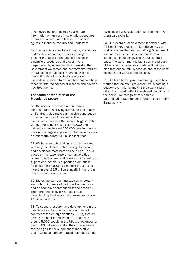takes every opportunity to give accurate information on animals in scientific procedures through seminars and addresses to senior figures in industry, the City and Parliament.

29. The bioscience sector – industry, academics and medical charities, are also working to present the facts on the use of animals in scientific procedures and dispel myths perpetuated by animal rights extremists. The Government welcomes and supports the work of the Coalition for Medical Progress, which is presenting data from scientists engaged in biomedical research to explain how animals help research into the causes of disease and develop new treatments.

#### **Economic contribution of the bioscience sector**

30. Bioscience has made an enormous contribution to improving our health and quality of life. But it also makes a massive contribution to our economy and prosperity. The UK bioscience industry is the second biggest in the world, employing directly over 80,000 and indirectly an estimated 250,000 people. We are the world's largest exporter of pharmaceuticals – a trade worth nearly £12 billion last year.

31. We have an outstanding record in research with only the United States having discovered and developed more best-selling drugs. This is based on the excellence of our universities where 65% of all medical research is carried out. A great deal of this is supported from public funds but pharmaceutical companies are also investing over £3.5 billion annually in the UK in research and development.

32. Biotechnology is an increasingly important sector both in terms of its impact on our lives and its economic contribution to the economy. There are already over 480 dedicated biotechnology businesses with revenues of over £4 billion in 2002.

33. To support research and development in the bioscience sector, the UK has a number of contract research organisations (CROs) that are among the best in the world. CROs employ around 5,000 people in the UK, with revenues of over £100 million annually. They offer advance technologies for development of innovative pharmaceutical products, regulatory testing and

toxicological and registration services for new chemicals globally.

34. Our record of achievement in science, with 44 Nobel laureates in the last 50 years, our world-class institutions, and strong Government support means bioscience researchers and companies increasingly see the UK as their base. The Government is justifiably proud both of the scientific advances made in Britain and also that our country is seen as one of the best places in the world for bioscience.

35. But both home-grown and foreign firms have warned that animal right extremism is casting a shadow over this, by making their work more difficult and could affect investment decisions in the future. We recognise this and are determined to step up our efforts to counter this illegal activity.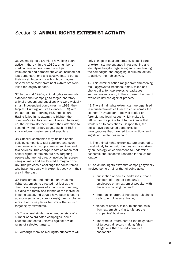## Section 3 **ANIMAL RIGHTS EXTREMIST ACTIVITY**

36. Animal rights extremists have long been active in the UK. In the 1980s, a number of medical researchers were the subject of intimidation and harassment which included not just demonstrations and abusive letters but at their worst, letter and car bomb campaigns. Several of the most prominent extremists were jailed for lengthy periods.

37. In the mid 1990s, animal rights extremists extended their campaign to target laboratory animal breeders and suppliers who were typically small, independent companies. In 1999, they targeted Huntingdon Life Sciences (HLS) with the stated aim of forcing HLS into closure. Having failed in its attempt to frighten the company's directors and employees into giving up, the extremists then turned their attention to secondary and tertiary targets such as HLS's shareholders, customers and suppliers.

38. Supplier companies may include banks, building companies, fuel suppliers and even companies which supply laundry services and taxi services. This change in tactics mean that animal rights extremists are now targeting people who are not directly involved in research using animals and are located throughout the UK. This provides a challenge for police forces who have not dealt with extremist activity in their area in the past.

39. Harassment and intimidation by animal rights extremists is directed not just at the director or employees of a particular company, but also the family and friends of the individual. In some cases, individuals have been forced to abandon social activities or resign from clubs as a result of those places becoming the focus of targeting by extremists.

40. The animal rights movement consists of a number of co-ordinated campaigns, some peaceful and some unlawful against a wide range of selected targets.

41. Although many animal rights supporters will

only engage in peaceful protest, a small core of extremists are engaged in researching and identifying targets, organising and co-ordinating the campaigns and engaging in criminal action to achieve their objectives.

42. This criminal action ranges from threatening mail, aggravated trespass, email, faxes and phone calls, to hoax explosive packages, serious assaults and, in the extreme, the use of explosive devices against property.

43. The animal rights extremists, are organised in a quasi-terrorist cellular structure across the country. They appear to be well briefed on forensic and legal issues, which makes it difficult for the police to obtain evidence that would lead to convictions. Despite this, the police have conducted some excellent investigations that have led to convictions and significant sentences in court.

44. The animal rights extremists are prepared to travel widely to commit offences and are driven by an ideology which threatens to undermine economic and academic research in the United Kingdom.

45. An animal rights extremist campaign typically involves some or all of the following acts:

- publication of names, addresses, phone numbers of targeted company's employees on an extremist website, with the accompanying innuendo;
- threatening letters & harassing telephone calls to employees at home;
- floods of emails, faxes, telephone calls from extremists trying to disrupt the companies' business;
- anonymous letters sent to the neighbours of targeted directors making false allegations that the individual is a paedophile;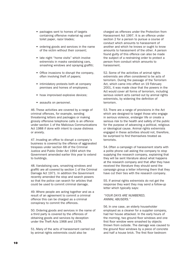- packages sent to homes of targets containing offensive material eg used toilet paper, razor blades;
- ordering goods and services in the name of the victim without their consent;
- late night "home visits" which involve extremists in masks vandalising cars, smashing windows and spraying graffiti;
- Office invasions to disrupt the company, often involving theft of papers;
- intimidatory protests both at company premises and homes of employees;
- hoax improvised explosive devices;
- assaults on personnel.

46. These activities are covered by a range of criminal offences, for example, sending threatening letters and packages or making grossly offensive telephone calls is an offence under section 1 of the Malicious Communications Act 1988 if done with intent to cause distress or anxiety.

47. Invading an office to disrupt a company's business is covered by the offence of aggravated trespass under section 68 of the Criminal Justice and Public Order Act 1994 which the Government amended earlier this year to extend to buildings.

48. Vandalising cars, smashing windows and graffiti are all covered by section 1 of the Criminal Damage Act 1971. In addition the Government recently amended the stop and search powers so that the police can search for articles that could be used to commit criminal damage.

49. Where people are acting together and as a result of an agreement to commit a criminal offence this can be charged as a criminal conspiracy to commit the offences.

50. Ordering goods and services in the name of a third party is covered by the offences of obtaining goods and services by deception under the Theft Acts 1968 and 1978.

51. Many of the acts of harassment carried out by animal rights extremists could also be

charged as offences under the Protection from Harassment Act 1997. It is an offence under section 2 for a person to pursue a course of conduct which amounts to harassment of another and which he knows or ought to know amounts to harassment of the other. A person found guilty of this offence can also be made the subject of a restraining order to protect a person from conduct which amounts to harassment.

52. Some of the activities of animal rights extremists are often considered to be acts of terrorism. During the passage of the Terrorism Act, which came into effect on 19 February 2001, it was made clear that the powers in the Act would cover all forms of terrorism, including serious violent acts carried out by animal rights extremists, by widening the definition of terrorism.

53. There are a range of provisions in the Act which are designed to target those who engage in serious violence, endanger life or create a serious risk to the health and safety of the public for the purpose of advancing a political, religious or ideological cause. Animal rights extremists engaged in these activities should not, therefore, be surprised to find themselves treated as terrorists.

54. Often a campaign of harassment starts with a polite phone call asking the company to stop supplying the research company, explaining that they will be sent literature about what happens at the research company and that after they have received the literature they should send the campaign group a letter informing them that they have cut their ties with the research company.

55. If animal rights extremists do not get the response they want they may send a follow-up letter which typically says:

#### "YOUR DAYS ARE NUMBERED, ANIMAL ABUSERS."

56. In one case, an elderly householder employed as a cleaner for a supplier company, had her house attacked. In the early hours of the morning, two ground floor windows and one first floor window were smashed by objects thrown from outside. The damage was caused to the ground floor windows by a piece of concrete and half a house brick. The first floor bedroom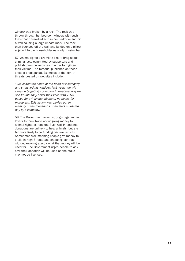window was broken by a rock. The rock was thrown through her bedroom window with such force that it travelled across her bedroom and hit a wall causing a large impact mark. The rock then bounced off the wall and landed on a pillow adjacent to the householder narrowly missing her.

57. Animal rights extremists like to brag about criminal acts committed by supporters and publish them on websites in order to frighten their victims. The material published on these sites is propaganda. Examples of the sort of threats posted on websites include:

"We visited the home of the head of x company, and smashed his windows last week. We will carry on targeting x company in whatever way we see fit until they sever their links with y. No peace for evil animal abusers, no peace for murderers. This action was carried out in memory of the thousands of animals murdered at y by x company."

58. The Government would strongly urge animal lovers to think twice about giving money to animal rights extremists. Such well-intentioned donations are unlikely to help animals, but are far more likely to be funding criminal activity. Sometimes well meaning people give money to stalls in High Streets and shopping centres without knowing exactly what that money will be used for. The Government urges people to ask how their donation will be used as the stalls may not be licensed.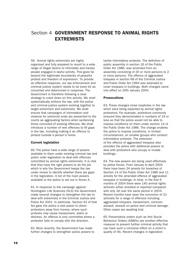## Section 4 **GOVERNMENT RESPONSE TO ANIMAL RIGHTS EXTREMISTS**

59. Animal rights extremists are highly organised and fully prepared to resort to a wide range of illegal tactics to intimidate and harass people engaged in lawful activity. This goes far beyond the legitimate boundaries of peaceful protest and freedom of expression. To provide an effective response, our law enforcement and criminal justice system needs to be every bit as concerted and determined in response. The Government is therefore following a clear strategy to crack down on this activity. We shall systematically enforce the law, with the police and criminal justice system working together to target extremism and extremists. We shall ensure that campaigns of intimidation and violence for extremist ends are presented to the courts as aggravating factors when sentencing those convicted of existing offences. We shall introduce a number of new offences to fill gaps in the law, including making it an offence to protest outside a person's home.

#### **Current legislation**

60. The police have a wide range of powers available to them under existing criminal law and public order legislation to deal with offences committed by animal rights extremists. It is vital that they have the right powers to do the job which is why the Government keeps the law under review to identify whether there are gaps in the legislation. A list of the main powers available to the police is set out in Annex A.

61. In response to the campaign against Huntingdon Life Sciences (HLS) the Government made several changes to strengthen the law to deal with extremists in the Criminal Justice and Police Act 2001. In particular, Section 42 of that Act gave the police a new power to direct protestors away from homes, where such protests may cause harassment, alarm or distress. An offence is only committed where a protestor fails to comply with the direction.

62. More recently, the Government has made further changes to strengthen police powers to tackle intimidatory protests. The definition of public assembly in section 16 of the Public Order Act 1986, was amended from an assembly consisting of 20 or more persons to 2 or more persons. The offence of aggravated trespass in section 68 of the Criminal Justice and Public Order Act 1994 was extended to cover trespass in buildings. Both changes came into effect on 20th January 2004.

#### **Prosecutions**

63. These changes close loopholes in the law which were being exploited by animal rights protestors. For example, protestors commonly ensured they demonstrated in numbers of 19 or less so that the police would not be able to impose conditions on them under section 14 of the Public Order Act 1986. The change enables the police to impose conditions, in limited circumstances, on smaller groups who conduct intimidatory protests. The extension of the offence of aggravated trespass also provides the police with additional powers to deal with protestors who occupy or invade buildings.

64. The new powers are being used effectively by police forces. From January to April 2004 there have been 24 arrests for breaches of Section 14 of the Public Order Act 1986 and 11 arrests for the amended offence of aggravated trespass in buildings. In total, in the first 6 months of 2004 there were 140 animal rights activists either arrested or reported compared with only 34 over the same period in 2003. Recent months have seen the conviction of 21 activists for a range of offences including aggravated trespass, harassment, common assault, assault on police and criminal damage. Other cases are awaiting trial.

65. Preventative orders such as Anti Social Behaviour Orders (ASBOs) are another effective measure to prevent further criminal activity that can have such a corrosive effect on a victim's quality of life. Recent changes in legislation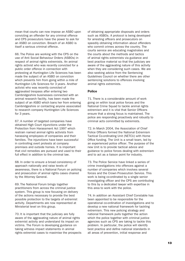mean that courts can now impose an ASBO upon convicting an offender for any criminal offence and CPS prosecutors have the power to ask for an ASBO on conviction. Breach of an ASBO is itself a serious criminal offence.

66. The Police are working with the CPS on the use of Anti Social Behaviour Orders (ASBOs) in respect of animal rights extremists. An animal rights activist who was recently convicted for a public order offence in connection with protesting at Huntingdon Life Sciences has been made the subject of an ASBO on conviction which prevents him from going within a mile of Huntingdon Life Sciences for 3 years. Another activist who was recently convicted of aggravated trespass after entering two Cambridgeshire businesses connected with an animal research facility, has been made the subject of an ASBO which bans her from entering Cambridgeshire or contacting anyone associated to research company Huntingdon Life Sciences for 3 years.

67. A number of targeted companies have obtained High Court injunctions under the Protection from Harassment Act 1997 which restrain named animal rights activists from harassing employees of companies and their families. The injunctions have been successful in controlling overt protests at company premises and outside homes. It is important that civil remedies are pursued and used to their full effect in addition to the criminal law.

68. In order to ensure a broad consistency of approach nationally and raise levels of awareness, there is a National Forum on policing and prosecution of animal rights cases chaired by the Attorney General.

69. The National Forum brings together practitioners from across the criminal justice system. This group is now focusing on delivery of the actions necessary to provide the best possible protection to the targets of extremist activity. Departments are now represented at Ministerial level on this group.

70. It is important that the judiciary are fully aware of the aggravating nature of animal rights extremist activity and understand its impact on victims. The Forum is developing guidance on taking witness impact statements in animal rights extremist cases to maximise the prospects of obtaining appropriate disposals and orders such as ASBOs. A protocol is being developed for arresting officers and prosecutors on speedily obtaining information about offenders who commit crimes across the country. The courts service are educating magistrates and the courts about the methods and tactics of animal rights extremists via guidance and best practice material so that the judiciary are aware of the aggravating nature of this activity when they are considering such cases. We are also seeking advice from the Sentencing Guidelines Council on whether there are other sentencing solutions to offences involving animal rights extremists.

#### **Police**

71. There is a considerable amount of work going on within local police forces and the National Crime Squad to tackle animal rights extremism and it is vital that Senior Officers ensure that a strong focus is maintained. The police are responding proactively and robustly to criminal acts committed by extremists.

72. In March 2004, the Association of Chief Police Officers formed the National Extremism Tactical Co-ordinating Unit (NETCU) with Home Office funding. The Unit is a small team, led by an experienced police officer. The purpose of the new Unit is to provide tactical advice and guidance to police forces dealing with extremism and to act as a liaison point for industry.

73. The Police Service have linked a series of crime investigations into offences against a number of companies which involves several forces and the Crown Prosecution Service. This work is being co-ordinated by a single senior investigating officer and the CPS are contributing to this by a dedicated lawyer with expertise in this area to work with the police.

74. In addition an Assistant Chief Constable has been appointed to be responsible for the operational co-ordination of investigations and to develop a new national framework for tackling extremism. This new policing strategy and national framework pulls together the action which the police together with criminal justice agencies such as CPS are taking to tackle this problem. In particular, the police will identify best practice and define national standards in all areas of prevention, initial response and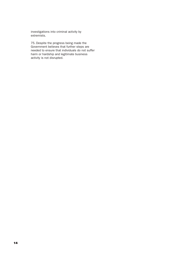investigations into criminal activity by extremists.

75. Despite the progress being made the Government believes that further steps are needed to ensure that individuals do not suffer harm or hardship and legitimate business activity is not disrupted.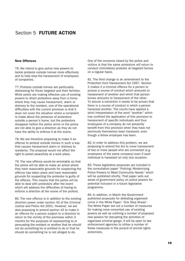## Section 5 **FUTURE ACTION**

#### **New Offences**

76. We intend to give police new powers to tackle protests outside homes more effectively and to help stop the harassment of employees of companies.

77. Protests outside homes are particularly distressing for those targeted and their families. While police are making effective use of existing powers to direct protestors away from a home where they may cause harassment, alarm or distress to the resident, one of the operational difficulties with the current provision is that it does not cover the situation where a complaint is made about the presence of protestors outside a person's home, but the protestors disappear before the police arrive or the police are not able to give a direction as they do not have the ability to enforce it at the scene.

78. We are therefore proposing to make it an offence to protest outside homes in such a way that causes harassment alarm or distress to residents. The proposal would not affect the right to picket peacefully at a work place.

79. The new offence would be arrestable so that the police will be able to make an arrest where they have reasonable grounds for suspecting the offence has taken place and have reasonable grounds for suspecting the protestor is guilty of the offence. This means that the police will be able to deal with protestors after the event which will address the difficulties of having to enforce a direction at the scene of the protest.

80. The new offence is in addition to the existing direction power under section 42 of the Criminal Justice and Police Act 2001. However, we are also proposing to amend section 42 to make it an offence for a person subject to a direction to return to the vicinity of the premises within 3 months for the purposes of representing to or persuading the resident or another that he should not do something he is entitled to do or that he should do something he is not obliged to do.

One of the concerns raised by the police and victims is that the same protestors will return to conduct intimidatory protests at targeted homes on a regular basis.

81. The third change is an amendment to the Protection from Harassment Act 1997. Section 2 makes it a criminal offence for a person to pursue a course of conduct which amounts to harassment of another and which that person knows amounts to harassment of the other. To secure a conviction it needs to be proven that there is a course of conduct in which a person harassed another. The courts have applied a strict interpretation of the word "another" which has confined the application of this provision to harassment of specific individuals and thus employees of a company do not presently benefit from this provision when they have not previously themselves been harassed, even though a fellow employee has been.

82. In order to address this problem, we are proposing to extend the Act to cover harassment of two or more people who are connected (e.g. employees of the same company) even if each individual is harassed on only one occasion.

83. These legislative proposals are included in the consultation paper "Policing: Modernising Police Powers to Meet Community Needs" which will be published shortly. That paper sets out areas of government policy on police powers for potential inclusion in a future legislative programme.

84. In addition, in March the Government published proposals for defeating organised crime in the White Paper: 'One Step Ahead'. The White Paper set out a number of measures for making more concerted use of existing powers as well as outlining a number of proposed new powers for disrupting the activities of organised criminal gangs. It will be open to law enforcement agencies to utilise a number of these measures in the pursuit of animal rights extremists.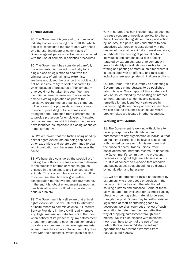#### **Further Action**

85. The Government is grateful to a number of industry bodies for sharing their draft Bill which seeks to consolidate the law to deal with those who harass, intimidate or commit acts of violence against persons involved in or connected with the use of animals in scientific procedures.

86. The Government has considered carefully the arguments put forward by industry for a single piece of legislation to deal with the criminal acts of animal rights extremists. We have not closed the door on this but it would not be sensible to try to seek a separate Bill which because of pressures of Parliamentary time could not be taken this year. We have identified alternative avenues to allow us to amend existing legislation as part of the legislative programme on organised crime and police reform. Our proposals to create a new offence of protesting outside homes and strengthen the Protection from Harassment Act to provide protection for employees of targeted companies are ones which industry themselves have identified as important in closing loopholes in the current law.

87. We are aware that the tactics being used by animal rights extremists are being copied by other extremists and we are determined to deal with intimidation and harassment whatever the cause.

88. We have also considered the possibility of making it an offence to cause economic damage to the suppliers of firms or research groups engaged in the legitimate and licensed use of animals. This is a complex area which is difficult to define. We shall however give further consideration to this over the next few months. In the end it is robust enforcement as much as new legislation which will help us tackle this serious problem.

89. The Government is well aware that animal rights extremists use the internet to intimidate or incite others to commit violence. All Internet Service Providers in the UK will readily remove any illegal material on websites which they host when notified of its presence by law enforcement or another appropriate body. In addition service providers are prepared to remove legal material where it breaches an acceptable use policy they have with their customer. Whilst such policies

vary in nature, they can include material deemed to cause concern or needless anxiety to others. We will co-ordinate legislation, policy and action by industry, the police, CPS and others to deal effectively with problems associated with the hosting of material on animal extremist websites, in particular the hosting of personal details of individuals and companies at risk of being targeted by extremists. Law enforcement will seek to identify individuals responsible for the writing and posting of material on sites where it is associated with an offence, and take action including where appropriate criminal prosecutions.

90. The Home Office is currently co-ordinating a Government e-crime strategy to be published later this year. One chapter of this strategy will look at issues raised by the hosting of internet content, and seek to identify and suggest remedies for any identified weaknesses in domestic legislation, policy or practice, and how we can seek to influence such issues where problem sites are located in other countries.

#### **Working with victims**

91. The Government is working with victims to develop responses to intimidation and harassment of any organisation or individual that animal rights extremists believe is associated with biomedical research. Ministers have met the financial sector, trades unions, trade associations and individual victims, to underline the Government's commitment to protecting persons carrying out legitimate business in the UK. It is of concern to everyone that research and business activities should not be dictated by intimidation and harassment.

92. We are determined to tackle harassment by extremists who order goods or services in the name of third parties with the intention of causing distress and nuisance. Some of these activities are already illegal; for example causing obscene or pornographic material to be sent through the post. Others may fall within existing legislation of theft or obtaining goods by deception. We shall carry out a review of such legislation to determine the most effective way of stopping harassment through such means. We will also discuss with business how it can help to control the use of mail order offers or similar "distance selling" opportunities to prevent extremists from harassing individuals.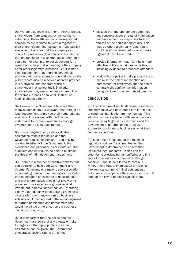93. We are also looking further at how to protect shareholders from targeting by animal rights extremists. Under UK company law registered companies are required to keep a register of their shareholders. The register is made publicly available not only so that the company can contact its members (shareholders) but also so that shareholders may contact each other. This could be, for example, to solicit support for a resolution to be put at a meeting of the company or for other legitimate purposes. But it is not a legal requirement that shareholders should provide their home address – the address on the public record may be a service address provided it is a physical address from which a shareholder may collect mail. Similarly, shareholders may use a nominee shareholder, for example a bank or solicitor, instead of holding shares directly.

94. However, the Government believes that many shareholders are unaware that there is no legal requirement to provide their home address and we will be working with the financial institutions to increase awareness amongst investors of the legal requirements.

95. Those targeted can provide valuable assistance to help the police and the Government tackle extremism – and only by working together will the Government, the bioscience and pharmaceutical industries, their suppliers and individuals be able to minimise the threat of intimidation and harassment.

96. There are a number of positive actions that can be taken to help both Government and victims. For example, a major trade association representing pension fund managers has stated that intimidation of investors is unacceptable and that shareholders should not give way to pressure from single issue groups against investment in particular companies. By stating clearly that industry will not allow extremists to dictate with whom anyone can do business, activists would be deprived of the encouragement to further intimidation and harassment that would have little or no effect on the business decisions of industry.

97. It is important that the police and the Government are aware of any threats or risks to targets so that appropriate advice and assistance can be given. The Government encourages anyone who is at risk to:

- discuss with the appropriate authorities any concerns about threats of intimidation and harassment, or responses to such threats at the earliest opportunity. This may be where a company fears that it could be at risk, even before any threats against it have been made
- provide information that might help more effective policing of criminal activities, including evidence to prosecute offenders
- work with the police to take precautions to minimise the risk of intimidation and harassment of employees and the risk of commercially confidential information being disclosed to unauthorised persons.

#### **CONCLUSION**

98. The Government applauds those companies and individuals who have stood firm in the face of continual intimidation from extremists. This situation is unacceptable for those whose daily lives are being blighted by extremists and the Government is determined not to allow extremists to dictate to businesses what they can and cannot do.

99. Since the UK has one of the toughest regulatory regimes for animal testing the Government is determined to ensure that legitimate legal research – which has the potential to alleviate human suffering and find cures for diseases which we never thought possible – should be allowed to continue without the threat of intimidation or violence. If extremists commit criminal acts against individuals or companies they can expect the full force of the law to be used against them.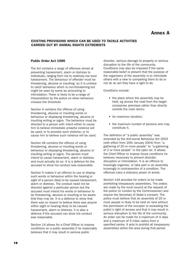## **Annex A**

#### **EXISTING PROVISIONS WHICH CAN BE USED TO TACKLE ACTIVITIES CARRIED OUT BY ANIMAL RIGHTS EXTREMISTS**

#### **Public Order Act 1986**

The Act contains a range of offences aimed at preventing harassment, alarm or distress to individuals, ranging from riot to relatively low level harassment. The behaviour of offender must be threatening, abusive or insulting: so it is unlikely to catch behaviour which is non-threatening but might be seen by some as amounting to intimidation. There is likely to be a range of interpretation by the police on when behaviour crosses the threshold.

Section 4 contains the offence of using threatening, abusive or insulting words or behaviour or displaying threatening, abusive or insulting writing or signs. The behaviour must be directed to a person with intent either to cause him to believe immediate unlawful violence will be used; or to provoke such violence; or to cause him to believe such violence will be used.

Section 4A contains the offence of using threatening, abusive or insulting words or behaviour or displaying threatening, abusive or insulting writing or signs. The person must intend to cause harassment, alarm or distress and must actually do so. It is a defence for the accused to show his conduct was reasonable.

Section 5 makes it an offence to use or display such words or behaviour within the hearing or sight of a person likely to be caused harassment, alarm or distress. The conduct need not be directed against a particular person but the accused must intend his words or behaviour to be threatening, abusive or insulting or be aware that they may be. It is a defence to show that there was no reason to believe there was anyone within sight or hearing likely to be caused harassment, alarm or distress. It is also a defence if the accused can show his conduct was reasonable.

Section 14 allows for a Chief Officer to impose conditions on a public assembly if he reasonably believes that it may result in serious public

disorder, serious damage to property or serious disruption to the life of the community. Conditions may also be imposed if the same reasonable belief is present that the purpose of the organisers of the assembly is to intimidate others with a view to compelling them to do or not do an act they have a right to do.

Conditions include:

- the place where the assembly may be held, eg across the road from the target companies premises rather than directly outside the main doors;
- its maximum duration:
- the maximum number of persons who may constitute it.

The definition of "a public assembly" was amended by the Anti-social Behaviour Act 2003 (with effect from 20th January 2004) from "a gathering of 20 or more people" to "a gathering of 2 or more people" in the open air. It allows the Chief Officer to impose those conditions he believes necessary to prevent disorder, disruption or intimidation. It is an offence to knowingly organise, or take part in an assembly knowingly in contravention of a condition. The offences carry a statutory power of arrest.

Section 14A provides for orders to be made prohibiting trespassory assemblies. The orders are made by the local council at the request of the police (in London by the Commissioner) and require the Secretary of State's consent. The police must believe that an assembly of 20 or more people is likely to be held on land without the permission of the occupier or exceeding the public's right of access and that it may result in serious disruption to the life of the community. An order can be made for a maximum of 4 days and a maximum of 5 miles radius from a specified centre. It acts to prohibit all trespassory assemblies within the area during that period.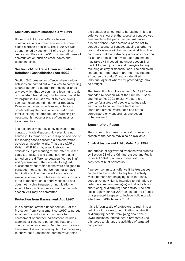#### **Malicious Communications Act 1988**

Under this Act it is an offence to send communications or other articles with intent to cause distress or anxiety. The 1988 Act was strengthened by section 43 of the Criminal Justice and Police Act 2001 to cover all forms of communication such as email, faxes and telephone calls.

#### **Section 241 of Trade Union and Labour Relations (Consolidation) Act 1992**

Section 241 creates an offence where various activities are carried out with a view to compelling another person to abstain from doing or to do any act which that person has a legal right to do or to abstain from doing. The behaviour must be "wrongful" ie it must amount to a civil wrong such as nuisance, intimidation or trespass. Relevant activities include using violence to or intimidating the person concerned or his family; injuring his property; and watching or besetting his house or place of business or its approaches.

The section is most obviously relevant in the context of trade disputes. However, it is not limited in its terms to such a dispute and one of the leading cases concerns a demonstration outside an abortion clinic. That case (DPP v Fidler 1 WLR 91) may also illustrate the difficulties in prosecuting for the offence in the context of pickets and demonstrations as it turned on the difference between "compelling" and "persuading". The defendants argued successfully that their actions were designed to persuade, not to compel women not to have terminations. The offence will also only be available where the protestors' action is tortious. If the demonstration is entirely peaceful and does not involve trespass or intimidation or amount to a public nuisance, no offence under section 241 may be committed.

#### **Protection from Harassment Act 1997**

It is a criminal offence under section 2 of the Protection from Harassment Act 1997 to pursue a course of conduct which amounts to harassment of another- harassment includes alarming or causing a person distress and conduct includes speech. An intention to cause harassment is not necessary, but it is necessary to show that a reasonable person would think

the behaviour amounted to harassment. It is a defence to show that the course of conduct was reasonable in the particular circumstances. It is an offence under section 4 of the Act to pursue a course of conduct causing another to fear that violence will be used against him. The court may make a restraining order on conviction for either offence and a victim of harassment may take civil proceedings under section 3 of the Act for an injunction and damages for any resulting anxiety or financial loss. The perceived limitations of the powers are that they require a "course of conduct" and an identified individual against whom civil proceedings may be brought.

The Protection from Harassment Act 1997 was amended by section 44 of the Criminal Justice and Police Act 2001 to clarify that it is an offence for a group of people to collude with each other to cause others harassment, alarm or distress, where each one of the perpetrators only undertakes one action of harassment.

#### **Breach of the Peace**

The common law power to arrest to prevent a breach of the peace may also be available.

#### **Criminal Justice and Public Order Act 1994**

The offence of aggravated trespass was created by Section 68 of the Criminal Justice and Public Order Act 1994, primarily to deal with the activities of hunt saboteurs.

A person commits an offence if he trespasses on land and in relation to any lawful activity which persons are engaging in on that land, does anything which is intended to intimidate or deter persons from engaging in that activity, or obstructing or disrupting that activity. The Antisocial Behaviour Act 2003 extended the offence of aggravated trespass to include buildings with effect from 20th January 2004.

It is a known tactic of protestors to rush into a building with a view to intimidating, obstructing or disrupting people from going about their lawful business. Animal rights protestors use this tactic to disrupt the activities of targeted companies.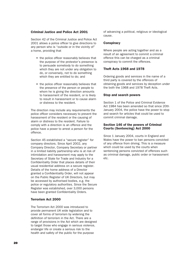#### **Criminal Justice and Police Act 2001**

Section 42 of the Criminal Justice and Police Act 2001 allows a police officer to give directions to any person who is "outside or in the vicinity of" a home, providing that

- the police officer reasonably believes that the purpose of the protestor's presence is to persuade somebody to do something which they are not under any obligation to do, or conversely, not to do something which they are entitled to do; and
- the police officer reasonably believes that the presence of the person or people to whom he is giving the direction amounts to harassment of the resident, or is likely to result in harassment or to cause alarm or distress to the resident.

The direction may include any requirements the police officer considers necessary to prevent the harassment of the resident or the causing of alarm or distress to the resident. Failure to comply with a direction is an offence and the police have a power to arrest a person for the offence.

Section 45 established a "secure register" for company directors. Since April 2002, any Company Director, Company Secretary or partner in a limited liability partnership who is at risk of intimidation and harassment may apply to the Secretary of State for Trade and Industry for a Confidentiality Order that places details of their usual residential address on a secure register. Details of the home address of a Director granted a Confidentiality Order, will not appear on the Public Register of UK Directors, but may be accessed by authorised bodies, e.g. the police or regulatory authorities. Since the Secure Register was established, over 3,000 persons have been granted Confidentiality Orders.

#### **Terrorism Act 2000**

The Terrorism Act 2000 was introduced to provide permanent UK wide legislation and to cover all forms of terrorism by widening the definition of terrorism in the Act. There are a range of provisions in the Act which are designed to target those who engage in serious violence, endanger life or create a serious risk to the health and safety of the public for the purpose

of advancing a political, religious or ideological cause.

#### **Conspiracy**

Where people are acting together and as a result of an agreement to commit a criminal offence this can be charged as a criminal conspiracy to commit the offences.

#### **Theft Acts 1968 and 1978**

Ordering goods and services in the name of a third party is covered by the offences of obtaining goods and services by deception under the both the 1968 and 1978 Theft Acts.

#### **Stop and search powers**

Section 1 of the Police and Criminal Evidence Act 1984 has been amended so that since 20th January 2004, the police have the power to stop and search for articles that could be used to commit criminal damage.

#### **Section 146 of the powers of Criminal Courts (Sentencing) Act 2000**

Since 1 January 2004, courts in England and Wales have the power to ban persons convicted of any offence from driving. This is a measure which could be used by the courts when sentencing persons convicted of offences such as criminal damage, public order or harassment etc.